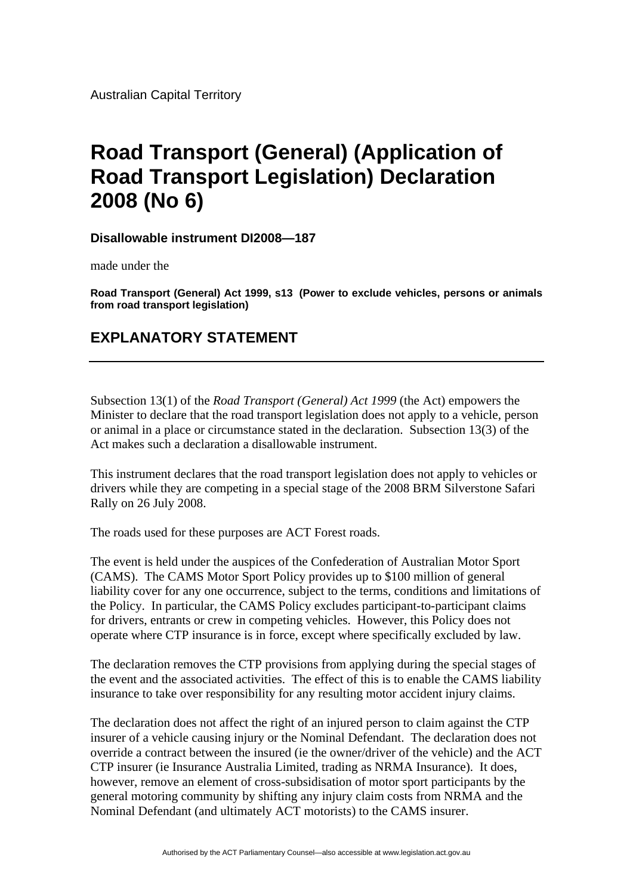## **Road Transport (General) (Application of Road Transport Legislation) Declaration 2008 (No 6)**

**Disallowable instrument DI2008—187**

made under the

**Road Transport (General) Act 1999, s13 (Power to exclude vehicles, persons or animals from road transport legislation)**

## **EXPLANATORY STATEMENT**

Subsection 13(1) of the *Road Transport (General) Act 1999* (the Act) empowers the Minister to declare that the road transport legislation does not apply to a vehicle, person or animal in a place or circumstance stated in the declaration. Subsection 13(3) of the Act makes such a declaration a disallowable instrument.

This instrument declares that the road transport legislation does not apply to vehicles or drivers while they are competing in a special stage of the 2008 BRM Silverstone Safari Rally on 26 July 2008.

The roads used for these purposes are ACT Forest roads.

The event is held under the auspices of the Confederation of Australian Motor Sport (CAMS). The CAMS Motor Sport Policy provides up to \$100 million of general liability cover for any one occurrence, subject to the terms, conditions and limitations of the Policy. In particular, the CAMS Policy excludes participant-to-participant claims for drivers, entrants or crew in competing vehicles. However, this Policy does not operate where CTP insurance is in force, except where specifically excluded by law.

The declaration removes the CTP provisions from applying during the special stages of the event and the associated activities. The effect of this is to enable the CAMS liability insurance to take over responsibility for any resulting motor accident injury claims.

The declaration does not affect the right of an injured person to claim against the CTP insurer of a vehicle causing injury or the Nominal Defendant. The declaration does not override a contract between the insured (ie the owner/driver of the vehicle) and the ACT CTP insurer (ie Insurance Australia Limited, trading as NRMA Insurance). It does, however, remove an element of cross-subsidisation of motor sport participants by the general motoring community by shifting any injury claim costs from NRMA and the Nominal Defendant (and ultimately ACT motorists) to the CAMS insurer.